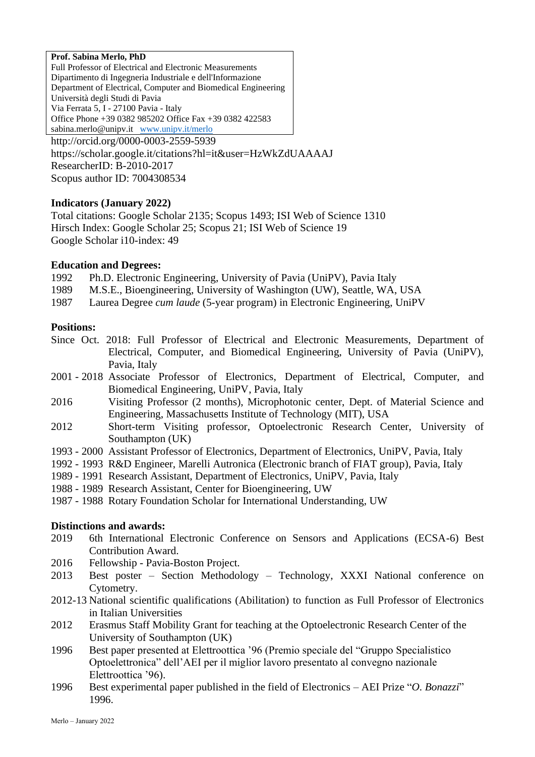#### **Prof. Sabina Merlo, PhD**

Full Professor of Electrical and Electronic Measurements Dipartimento di Ingegneria Industriale e dell'Informazione Department of Electrical, Computer and Biomedical Engineering Università degli Studi di Pavia Via Ferrata 5, I - 27100 Pavia - Italy Office Phone +39 0382 985202 Office Fax +39 0382 422583 sabina.merlo@unipv.it [www.unipv.it/merlo](http://www.unipv.it/merlo)

http://orcid.org/0000-0003-2559-5939 <https://scholar.google.it/citations?hl=it&user=HzWkZdUAAAAJ> ResearcherID: B-2010-2017 Scopus author ID: 7004308534

### **Indicators (January 2022)**

Total citations: Google Scholar 2135; Scopus 1493; ISI Web of Science 1310 Hirsch Index: Google Scholar 25; Scopus 21; ISI Web of Science 19 Google Scholar i10-index: 49

#### **Education and Degrees:**

1992 Ph.D. Electronic Engineering, University of Pavia (UniPV), Pavia Italy

- 1989 M.S.E., Bioengineering, University of Washington (UW), Seattle, WA, USA
- 1987 Laurea Degree *cum laude* (5-year program) in Electronic Engineering, UniPV

#### **Positions:**

- Since Oct. 2018: Full Professor of Electrical and Electronic Measurements, Department of Electrical, Computer, and Biomedical Engineering, University of Pavia (UniPV), Pavia, Italy
- 2001 2018 Associate Professor of Electronics, Department of Electrical, Computer, and Biomedical Engineering, UniPV, Pavia, Italy
- 2016 Visiting Professor (2 months), Microphotonic center, Dept. of Material Science and Engineering, Massachusetts Institute of Technology (MIT), USA
- 2012 Short-term Visiting professor, Optoelectronic Research Center, University of Southampton (UK)
- 1993 2000 Assistant Professor of Electronics, Department of Electronics, UniPV, Pavia, Italy
- 1992 1993 R&D Engineer, Marelli Autronica (Electronic branch of FIAT group), Pavia, Italy
- 1989 1991 Research Assistant, Department of Electronics, UniPV, Pavia, Italy
- 1988 1989 Research Assistant, Center for Bioengineering, UW
- 1987 1988 Rotary Foundation Scholar for International Understanding, UW

### **Distinctions and awards:**

- 2019 6th International Electronic Conference on Sensors and Applications (ECSA-6) Best Contribution Award.
- 2016 Fellowship Pavia-Boston Project.
- 2013 Best poster Section Methodology Technology, XXXI National conference on Cytometry.
- 2012-13 National scientific qualifications (Abilitation) to function as Full Professor of Electronics in Italian Universities
- 2012 Erasmus Staff Mobility Grant for teaching at the Optoelectronic Research Center of the University of Southampton (UK)
- 1996 Best paper presented at Elettroottica '96 (Premio speciale del "Gruppo Specialistico Optoelettronica" dell'AEI per il miglior lavoro presentato al convegno nazionale Elettroottica '96).
- 1996 Best experimental paper published in the field of Electronics AEI Prize "*O. Bonazzi*" 1996.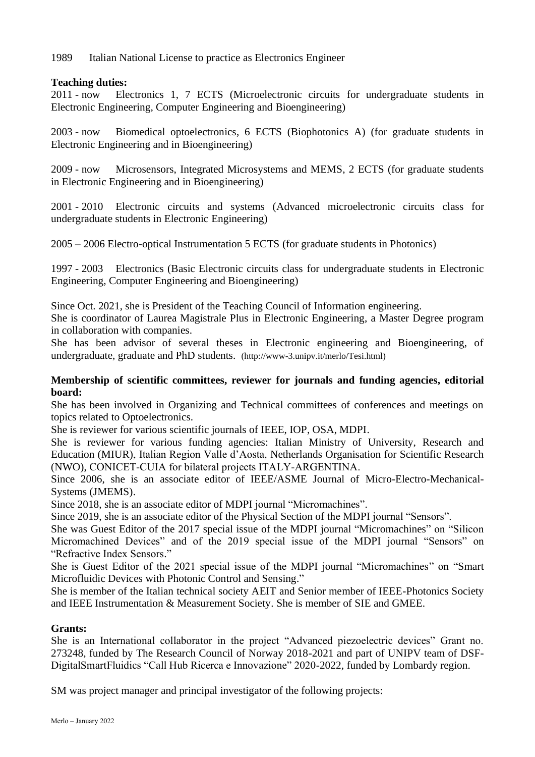1989 Italian National License to practice as Electronics Engineer

## **Teaching duties:**

2011 - now Electronics 1, 7 ECTS (Microelectronic circuits for undergraduate students in Electronic Engineering, Computer Engineering and Bioengineering)

2003 - now Biomedical optoelectronics, 6 ECTS (Biophotonics A) (for graduate students in Electronic Engineering and in Bioengineering)

2009 - now Microsensors, Integrated Microsystems and MEMS, 2 ECTS (for graduate students in Electronic Engineering and in Bioengineering)

2001 - 2010 Electronic circuits and systems (Advanced microelectronic circuits class for undergraduate students in Electronic Engineering)

2005 – 2006 Electro-optical Instrumentation 5 ECTS (for graduate students in Photonics)

1997 - 2003 Electronics (Basic Electronic circuits class for undergraduate students in Electronic Engineering, Computer Engineering and Bioengineering)

Since Oct. 2021, she is President of the Teaching Council of Information engineering.

She is coordinator of Laurea Magistrale Plus in Electronic Engineering, a Master Degree program in collaboration with companies.

She has been advisor of several theses in Electronic engineering and Bioengineering, of undergraduate, graduate and PhD students. (http://www-3.unipv.it/merlo/Tesi.html)

### **Membership of scientific committees, reviewer for journals and funding agencies, editorial board:**

She has been involved in Organizing and Technical committees of conferences and meetings on topics related to Optoelectronics.

She is reviewer for various scientific journals of IEEE, IOP, OSA, MDPI.

She is reviewer for various funding agencies: Italian Ministry of University, Research and Education (MIUR), Italian Region Valle d'Aosta, Netherlands Organisation for Scientific Research (NWO), CONICET-CUIA for bilateral projects ITALY-ARGENTINA.

Since 2006, she is an associate editor of IEEE/ASME Journal of Micro-Electro-Mechanical-Systems (JMEMS).

Since 2018, she is an associate editor of MDPI journal "Micromachines".

Since 2019, she is an associate editor of the Physical Section of the MDPI journal "Sensors".

She was Guest Editor of the 2017 special issue of the MDPI journal "Micromachines" on "Silicon Micromachined Devices" and of the 2019 special issue of the MDPI journal "Sensors" on "Refractive Index Sensors."

She is Guest Editor of the 2021 special issue of the MDPI journal "Micromachines" on "Smart Microfluidic Devices with Photonic Control and Sensing."

She is member of the Italian technical society AEIT and Senior member of IEEE-Photonics Society and IEEE Instrumentation & Measurement Society. She is member of SIE and GMEE.

### **Grants:**

She is an International collaborator in the project "Advanced piezoelectric devices" Grant no. 273248, funded by The Research Council of Norway 2018-2021 and part of UNIPV team of DSF-DigitalSmartFluidics "Call Hub Ricerca e Innovazione" 2020-2022, funded by Lombardy region.

SM was project manager and principal investigator of the following projects: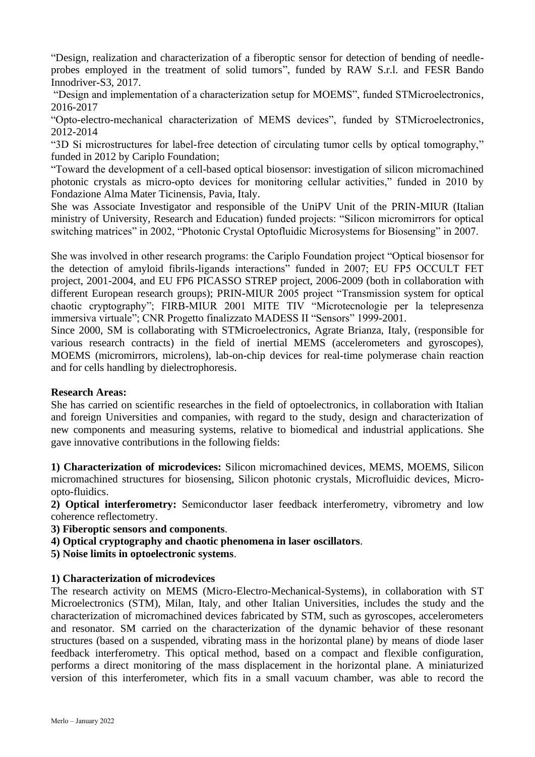"Design, realization and characterization of a fiberoptic sensor for detection of bending of needleprobes employed in the treatment of solid tumors", funded by RAW S.r.l. and FESR Bando Innodriver-S3, 2017.

"Design and implementation of a characterization setup for MOEMS", funded STMicroelectronics, 2016-2017

"Opto-electro-mechanical characterization of MEMS devices", funded by STMicroelectronics, 2012-2014

"3D Si microstructures for label-free detection of circulating tumor cells by optical tomography," funded in 2012 by Cariplo Foundation;

"Toward the development of a cell-based optical biosensor: investigation of silicon micromachined photonic crystals as micro-opto devices for monitoring cellular activities," funded in 2010 by Fondazione Alma Mater Ticinensis, Pavia, Italy.

She was Associate Investigator and responsible of the UniPV Unit of the PRIN-MIUR (Italian ministry of University, Research and Education) funded projects: "Silicon micromirrors for optical switching matrices" in 2002, "Photonic Crystal Optofluidic Microsystems for Biosensing" in 2007.

She was involved in other research programs: the Cariplo Foundation project "Optical biosensor for the detection of amyloid fibrils-ligands interactions" funded in 2007; EU FP5 OCCULT FET project, 2001-2004, and EU FP6 PICASSO STREP project, 2006-2009 (both in collaboration with different European research groups); PRIN-MIUR 2005 project "Transmission system for optical chaotic cryptography"; FIRB-MIUR 2001 MITE TIV "Microtecnologie per la telepresenza immersiva virtuale"; CNR Progetto finalizzato MADESS II "Sensors" 1999-2001.

Since 2000, SM is collaborating with STMicroelectronics, Agrate Brianza, Italy, (responsible for various research contracts) in the field of inertial MEMS (accelerometers and gyroscopes), MOEMS (micromirrors, microlens), lab-on-chip devices for real-time polymerase chain reaction and for cells handling by dielectrophoresis.

### **Research Areas:**

She has carried on scientific researches in the field of optoelectronics, in collaboration with Italian and foreign Universities and companies, with regard to the study, design and characterization of new components and measuring systems, relative to biomedical and industrial applications. She gave innovative contributions in the following fields:

**1) Characterization of microdevices:** Silicon micromachined devices, MEMS, MOEMS, Silicon micromachined structures for biosensing, Silicon photonic crystals, Microfluidic devices, Microopto-fluidics.

**2) Optical interferometry:** Semiconductor laser feedback interferometry, vibrometry and low coherence reflectometry.

**3) Fiberoptic sensors and components**.

**4) Optical cryptography and chaotic phenomena in laser oscillators**.

**5) Noise limits in optoelectronic systems**.

# **1) Characterization of microdevices**

The research activity on MEMS (Micro-Electro-Mechanical-Systems), in collaboration with ST Microelectronics (STM), Milan, Italy, and other Italian Universities, includes the study and the characterization of micromachined devices fabricated by STM, such as gyroscopes, accelerometers and resonator. SM carried on the characterization of the dynamic behavior of these resonant structures (based on a suspended, vibrating mass in the horizontal plane) by means of diode laser feedback interferometry. This optical method, based on a compact and flexible configuration, performs a direct monitoring of the mass displacement in the horizontal plane. A miniaturized version of this interferometer, which fits in a small vacuum chamber, was able to record the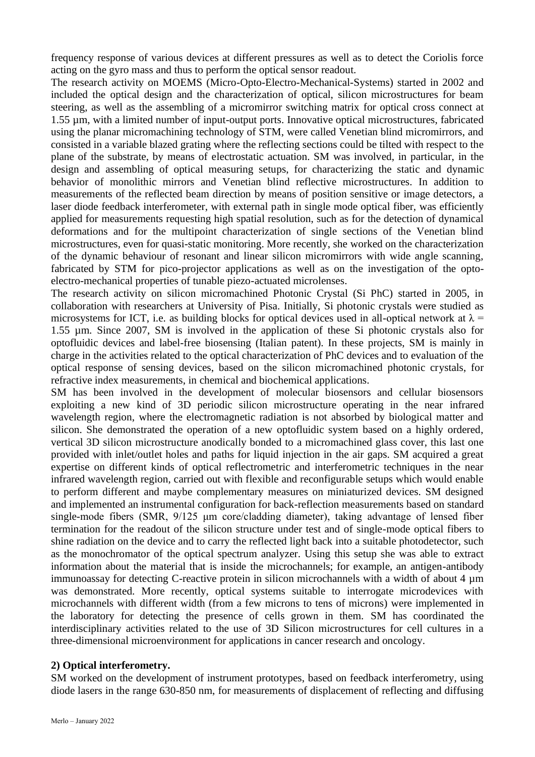frequency response of various devices at different pressures as well as to detect the Coriolis force acting on the gyro mass and thus to perform the optical sensor readout.

The research activity on MOEMS (Micro-Opto-Electro-Mechanical-Systems) started in 2002 and included the optical design and the characterization of optical, silicon microstructures for beam steering, as well as the assembling of a micromirror switching matrix for optical cross connect at 1.55 µm, with a limited number of input-output ports. Innovative optical microstructures, fabricated using the planar micromachining technology of STM, were called Venetian blind micromirrors, and consisted in a variable blazed grating where the reflecting sections could be tilted with respect to the plane of the substrate, by means of electrostatic actuation. SM was involved, in particular, in the design and assembling of optical measuring setups, for characterizing the static and dynamic behavior of monolithic mirrors and Venetian blind reflective microstructures. In addition to measurements of the reflected beam direction by means of position sensitive or image detectors, a laser diode feedback interferometer, with external path in single mode optical fiber, was efficiently applied for measurements requesting high spatial resolution, such as for the detection of dynamical deformations and for the multipoint characterization of single sections of the Venetian blind microstructures, even for quasi-static monitoring. More recently, she worked on the characterization of the dynamic behaviour of resonant and linear silicon micromirrors with wide angle scanning, fabricated by STM for pico-projector applications as well as on the investigation of the optoelectro-mechanical properties of tunable piezo-actuated microlenses.

The research activity on silicon micromachined Photonic Crystal (Si PhC) started in 2005, in collaboration with researchers at University of Pisa. Initially, Si photonic crystals were studied as microsystems for ICT, i.e. as building blocks for optical devices used in all-optical network at  $\lambda$  = 1.55 µm. Since 2007, SM is involved in the application of these Si photonic crystals also for optofluidic devices and label-free biosensing (Italian patent). In these projects, SM is mainly in charge in the activities related to the optical characterization of PhC devices and to evaluation of the optical response of sensing devices, based on the silicon micromachined photonic crystals, for refractive index measurements, in chemical and biochemical applications.

SM has been involved in the development of molecular biosensors and cellular biosensors exploiting a new kind of 3D periodic silicon microstructure operating in the near infrared wavelength region, where the electromagnetic radiation is not absorbed by biological matter and silicon. She demonstrated the operation of a new optofluidic system based on a highly ordered, vertical 3D silicon microstructure anodically bonded to a micromachined glass cover, this last one provided with inlet/outlet holes and paths for liquid injection in the air gaps. SM acquired a great expertise on different kinds of optical reflectrometric and interferometric techniques in the near infrared wavelength region, carried out with flexible and reconfigurable setups which would enable to perform different and maybe complementary measures on miniaturized devices. SM designed and implemented an instrumental configuration for back-reflection measurements based on standard single-mode fibers (SMR, 9/125 μm core/cladding diameter), taking advantage of lensed fiber termination for the readout of the silicon structure under test and of single-mode optical fibers to shine radiation on the device and to carry the reflected light back into a suitable photodetector, such as the monochromator of the optical spectrum analyzer. Using this setup she was able to extract information about the material that is inside the microchannels; for example, an antigen-antibody immunoassay for detecting C-reactive protein in silicon microchannels with a width of about 4 µm was demonstrated. More recently, optical systems suitable to interrogate microdevices with microchannels with different width (from a few microns to tens of microns) were implemented in the laboratory for detecting the presence of cells grown in them. SM has coordinated the interdisciplinary activities related to the use of 3D Silicon microstructures for cell cultures in a three-dimensional microenvironment for applications in cancer research and oncology.

### **2) Optical interferometry.**

SM worked on the development of instrument prototypes, based on feedback interferometry, using diode lasers in the range 630-850 nm, for measurements of displacement of reflecting and diffusing